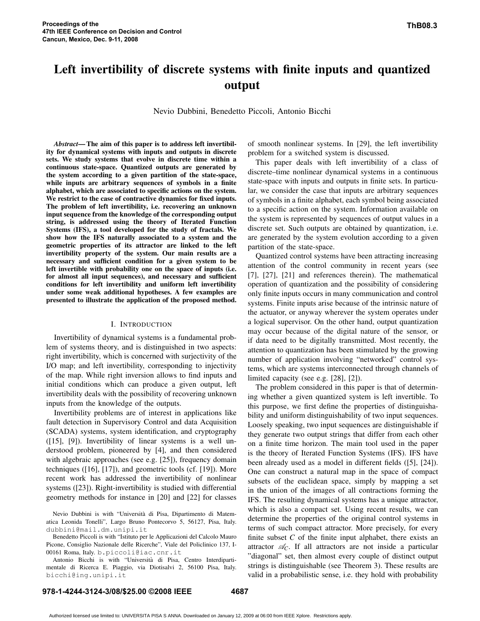# **Left invertibility of discrete systems with finite inputs and quantized output**

Nevio Dubbini, Benedetto Piccoli, Antonio Bicchi

*Abstract***— The aim of this paper is to address left invertibility for dynamical systems with inputs and outputs in discrete sets. We study systems that evolve in discrete time within a continuous state-space. Quantized outputs are generated by the system according to a given partition of the state-space, while inputs are arbitrary sequences of symbols in a finite alphabet, which are associated to specific actions on the system. We restrict to the case of contractive dynamics for fixed inputs. The problem of left invertibility, i.e. recovering an unknown input sequence from the knowledge of the corresponding output string, is addressed using the theory of Iterated Function Systems (IFS), a tool developed for the study of fractals. We show how the IFS naturally associated to a system and the geometric properties of its attractor are linked to the left invertibility property of the system. Our main results are a necessary and sufficient condition for a given system to be left invertible with probability one on the space of inputs (i.e. for almost all input sequences), and necessary and sufficient conditions for left invertibility and uniform left invertibility under some weak additional hypotheses. A few examples are presented to illustrate the application of the proposed method.**

#### I. INTRODUCTION

Invertibility of dynamical systems is a fundamental problem of systems theory, and is distinguished in two aspects: right invertibility, which is concerned with surjectivity of the I/O map; and left invertibility, corresponding to injectivity of the map. While right inversion allows to find inputs and initial conditions which can produce a given output, left invertibility deals with the possibility of recovering unknown inputs from the knowledge of the outputs.

Invertibility problems are of interest in applications like fault detection in Supervisory Control and data Acquisition (SCADA) systems, system identification, and cryptography ([15], [9]). Invertibility of linear systems is a well understood problem, pioneered by [4], and then considered with algebraic approaches (see e.g. [25]), frequency domain techniques ([16], [17]), and geometric tools (cf. [19]). More recent work has addressed the invertibility of nonlinear systems ([23]). Right-invertibility is studied with differential geometry methods for instance in [20] and [22] for classes

Nevio Dubbini is with "Universita` di Pisa, Dipartimento di Matematica Leonida Tonelli", Largo Bruno Pontecorvo 5, 56127, Pisa, Italy. dubbini@mail.dm.unipi.it

Benedetto Piccoli is with "Istituto per le Applicazioni del Calcolo Mauro Picone, Consiglio Nazionale delle Ricerche", Viale del Policlinico 137, I-00161 Roma, Italy. b.piccoli@iac.cnr.it

Antonio Bicchi is with "Universita` di Pisa, Centro Interdipartimentale di Ricerca E. Piaggio, via Diotisalvi 2, 56100 Pisa, Italy. bicchi@ing.unipi.it

of smooth nonlinear systems. In [29], the left invertibility problem for a switched system is discussed.

This paper deals with left invertibility of a class of discrete–time nonlinear dynamical systems in a continuous state-space with inputs and outputs in finite sets. In particular, we consider the case that inputs are arbitrary sequences of symbols in a finite alphabet, each symbol being associated to a specific action on the system. Information available on the system is represented by sequences of output values in a discrete set. Such outputs are obtained by quantization, i.e. are generated by the system evolution according to a given partition of the state-space.

Quantized control systems have been attracting increasing attention of the control community in recent years (see [7], [27], [21] and references therein). The mathematical operation of quantization and the possibility of considering only finite inputs occurs in many communication and control systems. Finite inputs arise because of the intrinsic nature of the actuator, or anyway wherever the system operates under a logical supervisor. On the other hand, output quantization may occur because of the digital nature of the sensor, or if data need to be digitally transmitted. Most recently, the attention to quantization has been stimulated by the growing number of application involving "networked" control systems, which are systems interconnected through channels of limited capacity (see e.g. [28], [2]).

The problem considered in this paper is that of determining whether a given quantized system is left invertible. To this purpose, we first define the properties of distinguishability and uniform distinguishability of two input sequences. Loosely speaking, two input sequences are distinguishable if they generate two output strings that differ from each other on a finite time horizon. The main tool used in the paper is the theory of Iterated Function Systems (IFS). IFS have been already used as a model in different fields ([5], [24]). One can construct a natural map in the space of compact subsets of the euclidean space, simply by mapping a set in the union of the images of all contractions forming the IFS. The resulting dynamical systems has a unique attractor, which is also a compact set. Using recent results, we can determine the properties of the original control systems in terms of such compact attractor. More precisely, for every finite subset  $C$  of the finite input alphabet, there exists an attractor  $\mathcal{A}_C$ . If all attractors are not inside a particular "diagonal" set, then almost every couple of distinct output strings is distinguishable (see Theorem 3). These results are valid in a probabilistic sense, i.e. they hold with probability

# **978-1-4244-3124-3/08/\$25.00 ©2008 IEEE 4687**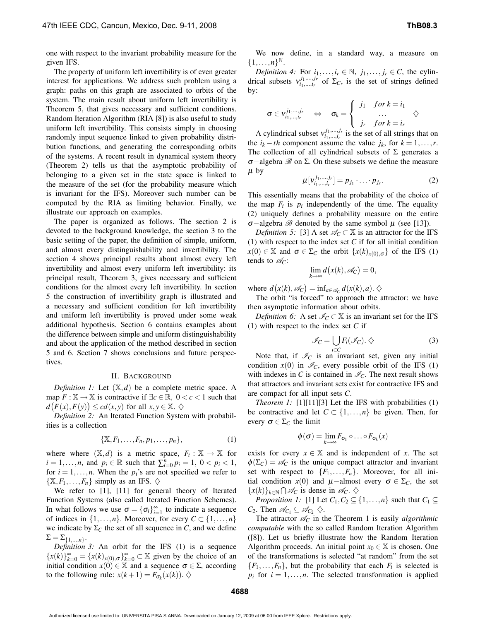one with respect to the invariant probability measure for the given IFS.

The property of uniform left invertibility is of even greater interest for applications. We address such problem using a graph: paths on this graph are associated to orbits of the system. The main result about uniform left invertibility is Theorem 5, that gives necessary and sufficient conditions. Random Iteration Algorithm (RIA [8]) is also useful to study uniform left invertibility. This consists simply in choosing randomly input sequence linked to given probability distribution functions, and generating the corresponding orbits of the systems. A recent result in dynamical system theory (Theorem 2) tells us that the asymptotic probability of belonging to a given set in the state space is linked to the measure of the set (for the probability measure which is invariant for the IFS). Moreover such number can be computed by the RIA as limiting behavior. Finally, we illustrate our approach on examples.

The paper is organized as follows. The section 2 is devoted to the background knowledge, the section 3 to the basic setting of the paper, the definition of simple, uniform, and almost every distinguishability and invertibility. The section 4 shows principal results about almost every left invertibility and almost every uniform left invertibility: its principal result, Theorem 3, gives necessary and sufficient conditions for the almost every left invertibility. In section 5 the construction of invertibility graph is illustrated and a necessary and sufficient condition for left invertibility and uniform left invertibility is proved under some weak additional hypothesis. Section 6 contains examples about the difference between simple and uniform distinguishability and about the application of the method described in section 5 and 6. Section 7 shows conclusions and future perspectives.

# II. BACKGROUND

*Definition 1:* Let  $(X,d)$  be a complete metric space. A map  $F : \mathbb{X} \to \mathbb{X}$  is contractive if  $\exists c \in \mathbb{R}, 0 < c < 1$  such that  $d(F(x), F(y)) \leq c d(x, y)$  for all  $x, y \in \mathbb{X}$ .  $\diamondsuit$ 

*Definition 2:* An Iterated Function System with probabilities is a collection

$$
\{\mathbb{X}, F_1, \ldots, F_n, p_1, \ldots, p_n\},\tag{1}
$$

where where  $(X,d)$  is a metric space,  $F_i : X \to X$  for *i* = 1, ...,*n*, and  $p_i \in \mathbb{R}$  such that  $\sum_{i=0}^{n} p_i = 1, 0 < p_i < 1$ , for  $i = 1, \ldots, n$ . When the  $p_i$ 's are not specified we refer to  $\{X, F_1, \ldots, F_n\}$  simply as an IFS.  $\diamondsuit$ 

We refer to [1], [11] for general theory of Iterated Function Systems (also called Iterated Function Schemes). In what follows we use  $\sigma = {\sigma_i}_{i=1}^{\infty}$  to indicate a sequence of indices in  $\{1,\ldots,n\}$ . Moreover, for every  $C \subset \{1,\ldots,n\}$ we indicate by  $\Sigma_C$  the set of all sequence in *C*, and we define  $\Sigma = \sum_{\{1,...,n\}}$ .

*Definition 3:* An orbit for the IFS (1) is a sequence  ${x(k)}_{k=0}^{\infty} = {x(k)}_{x(0),\sigma}$  $_{k=0}^{\infty} \subset \mathbb{X}$  given by the choice of an initial condition  $x(0) \in \mathbb{X}$  and a sequence  $\sigma \in \Sigma$ , according to the following rule:  $x(k+1) = F_{\sigma_k}(x(k))$ .  $\diamondsuit$ 

We now define, in a standard way, a measure on  ${1, \ldots, n}^{\mathbb{N}}$ .

*Definition* 4: For  $i_1, \ldots, i_r \in \mathbb{N}$ ,  $j_1, \ldots, j_r \in C$ , the cylindrical subsets  $v^{j_1,\dots,j_r}_{i_1,\dots,i_r}$  of  $\Sigma_C$ , is the set of strings defined by:

$$
\sigma \in v_{i_1,\dots,i_r}^{j_1,\dots,j_r} \quad \Leftrightarrow \quad \sigma_k = \left\{ \begin{array}{rcl} j_1 & for \ k = i_1 \\ \dots & \dots \\ j_r & for \ k = i_r \end{array} \right. \wedge
$$

A cylindrical subset  $v^{j_1,\dots,j_r}_{i_1,\dots,i_r}$  is the set of all strings that on the  $i_k - th$  component assume the value  $j_k$ , for  $k = 1, ..., r$ . The collection of all cylindrical subsets of  $\Sigma$  generates a <sup>σ</sup>−algebra B on Σ. On these subsets we define the measure  $\mu$  by

$$
\mu[v_{i_1,\dots,i_r}^{j_1,\dots,j_r}] = p_{j_1}\cdot \dots \cdot p_{j_r}.
$$
 (2)

This essentially means that the probability of the choice of the map  $F_i$  is  $p_i$  independently of the time. The equality (2) uniquely defines a probability measure on the entire <sup>σ</sup>−algebra B denoted by the same symbol <sup>µ</sup> (see [13]).

*Definition* 5: [3] A set  $\mathcal{A}_C \subset \mathbb{X}$  is an attractor for the IFS (1) with respect to the index set *C* if for all initial condition  $x(0) \in \mathbb{X}$  and  $\sigma \in \Sigma_C$  the orbit  $\{x(k)_{x(0),\sigma}\}\$  of the IFS (1) tends to  $\mathcal{A}_C$ :

$$
\lim_{k \to \infty} d(x(k), \mathscr{A}_C) = 0,
$$

where  $d(x(k), \mathscr{A}_C) = \inf_{a \in \mathscr{A}_C} d(x(k), a) \cdot \diamondsuit$ 

The orbit "is forced" to approach the attractor: we have then asymptotic information about orbits.

*Definition* 6: A set  $\mathcal{I}_C \subset \mathbb{X}$  is an invariant set for the IFS (1) with respect to the index set *C* if

$$
\mathcal{I}_C = \bigcup_{i \in C} F_i(\mathcal{I}_C). \diamondsuit
$$
 (3)

Note that, if  $\mathcal{I}_C$  is an invariant set, given any initial condition  $x(0)$  in  $\mathcal{I}_C$ , every possible orbit of the IFS (1) with indexes in *C* is contained in  $\mathcal{I}_C$ . The next result shows that attractors and invariant sets exist for contractive IFS and are compact for all input sets *C*.

*Theorem 1:* [1][11][3] Let the IFS with probabilities (1) be contractive and let  $C \subset \{1, \ldots, n\}$  be given. Then, for every  $\sigma \in \Sigma_C$  the limit

$$
\phi(\sigma) = \lim_{k \to \infty} F_{\sigma_1} \circ \ldots \circ F_{\sigma_k}(x)
$$

exists for every  $x \in \mathbb{X}$  and is independent of *x*. The set  $\phi(\Sigma_C) = \mathscr{A}_C$  is the unique compact attractor and invariant set with respect to  $\{F_1, \ldots, F_n\}$ . Moreover, for all initial condition  $x(0)$  and  $\mu$ −almost every  $\sigma \in \Sigma_C$ , the set  ${x(k)}_{k \in \mathbb{N}}$  ∩  $\mathcal{A}_C$  is dense in  $\mathcal{A}_C$ .  $\diamondsuit$ 

*Proposition 1*: [1] Let  $C_1, C_2 \subseteq \{1, \ldots, n\}$  such that  $C_1 \subseteq$ *C*<sub>2</sub>. Then  $\mathscr{A}_{C_1} \subseteq \mathscr{A}_{C_2} \diamondsuit$ .

The attractor  $\mathcal{A}_C$  in the Theorem 1 is easily *algorithmic computable* with the so called Random Iteration Algorithm ([8]). Let us briefly illustrate how the Random Iteration Algorithm proceeds. An initial point  $x_0 \in \mathbb{X}$  is chosen. One of the transformations is selected "at random" from the set  ${F_1, \ldots, F_n}$ , but the probability that each  $F_i$  is selected is  $p_i$  for  $i = 1, \ldots, n$ . The selected transformation is applied

Authorized licensed use limited to: UNIVERSITA PISA S ANNA. Downloaded on January 12, 2009 at 06:00 from IEEE Xplore. Restrictions apply.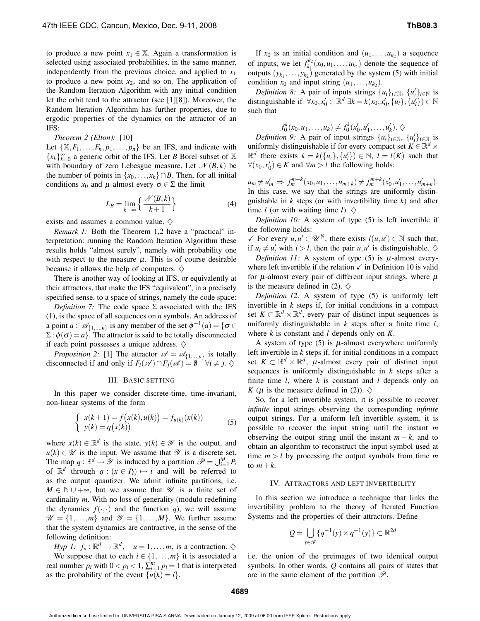to produce a new point  $x_1 \in \mathbb{X}$ . Again a transformation is selected using associated probabilities, in the same manner, independently from the previous choice, and applied to  $x_1$ to produce a new point  $x_2$ , and so on. The application of the Random Iteration Algorithm with any initial condition let the orbit tend to the attractor (see [1][8]). Moreover, the Random Iteration Algorithm has further properties, due to ergodic properties of the dynamics on the attractor of an IFS:

#### *Theorem 2 (Elton):* [10]

Let  $\{X, F_1, \ldots, F_n, p_1, \ldots, p_n\}$  be an IFS, and indicate with  ${x_k}_{k=0}^{\infty}$  a generic orbit of the IFS. Let *B* Borel subset of X with boundary of zero Lebesgue measure. Let  $\mathcal{N}(B,k)$  be the number of points in  $\{x_0, \ldots, x_k\} \cap B$ . Then, for all initial conditions  $x_0$  and  $\mu$ -almost every  $\sigma \in \Sigma$  the limit

$$
L_B = \lim_{k \to \infty} \left\{ \frac{\mathcal{N}(B, k)}{k + 1} \right\} \tag{4}
$$

exists and assumes a common value.  $\diamondsuit$ 

*Remark 1:* Both the Theorem 1,2 have a "practical" interpretation: running the Random Iteration Algorithm these results holds "almost surely", namely with probability one with respect to the measure  $\mu$ . This is of course desirable because it allows the help of computers.  $\diamondsuit$ 

There is another way of looking at IFS, or equivalently at their attractors, that make the IFS "equivalent", in a precisely specified sense, to a space of strings, namely the code space:

*Definition* 7: The code space  $\Sigma$  associated with the IFS (1), is the space of all sequences on *n* symbols. An address of a point  $a \in \mathcal{A}_{\{1,\dots,n\}}$  is any member of the set  $\phi^{-1}(a) = \{ \sigma \in \mathcal{A}_{\{1,\dots,n\}}\}$  $\Sigma : \phi(\sigma) = a$ . The attractor is said to be totally disconnected if each point possesses a unique address.  $\diamondsuit$ 

*Proposition* 2: [1] The attractor  $\mathscr{A} = \mathscr{A}_{\{1,\dots,n\}}$  is totally disconnected if and only if  $F_i(\mathscr{A}) \cap F_i(\mathscr{A}) = \emptyset$   $\forall i \neq j$ .

#### III. BASIC SETTING

In this paper we consider discrete-time, time-invariant, non-linear systems of the form

$$
\begin{cases}\n x(k+1) = f(x(k), u(k)) = f_{u(k)}(x(k)) \\
y(k) = q(x(k))\n\end{cases} (5)
$$

where  $x(k) \in \mathbb{R}^d$  is the state,  $y(k) \in \mathcal{Y}$  is the output, and  $u(k) \in \mathcal{U}$  is the input. We assume that  $\mathcal{Y}$  is a discrete set. The map  $q : \mathbb{R}^d \to \mathcal{Y}$  is induced by a partition  $\mathcal{P} = \bigcup_{i=1}^M P_i$ of  $\mathbb{R}^d$  through  $q : (x \in P_i) \mapsto i$  and will be referred to as the output quantizer. We admit infinite partitions, i.e.  $M \in \mathbb{N} \cup +\infty$ , but we assume that  $\mathcal U$  is a finite set of cardinality *m*. With no loss of generality (modulo redefining the dynamics  $f(\cdot, \cdot)$  and the function *q*), we will assume  $\mathcal{U} = \{1, \ldots, m\}$  and  $\mathcal{Y} = \{1, \ldots, M\}$ . We further assume that the system dynamics are contractive, in the sense of the following definition:

*Hyp 1:*  $f_u : \mathbb{R}^d \to \mathbb{R}^d$ ,  $u = 1, ..., m$ , is a contraction.  $\diamondsuit$ We suppose that to each  $i \in \{1, ..., m\}$  it is associated a real number  $p_i$  with  $0 < p_i < 1$ ,  $\sum_{i=1}^{m} p_i = 1$  that is interpreted as the probability of the event  $\{u(k) = i\}$ .

If  $x_0$  is an initial condition and  $(u_1, \ldots, u_{k_2})$  a sequence of inputs, we let  $f_{k_1}^{k_2}$  $\binom{k_2}{k_1}(x_0, u_1, \ldots, u_{k_2})$  denote the sequence of outputs  $(y_{k_1},...,y_{k_2})$  generated by the system (5) with initial condition  $x_0$  and input string  $(u_1, \ldots, u_{k_2})$ .

*Definition* 8: A pair of inputs strings  $\{u_i\}_{i \in \mathbb{N}}$ ,  $\{u'_i\}_{i \in \mathbb{N}}$  is distinguishable if  $\forall x_0, x'_0 \in \mathbb{R}^d \exists k = k(x_0, x'_0, \{u_i\}, \{u'_i\}) \in \mathbb{N}$ such that

$$
f_0^k(x_0, u_1, \ldots, u_k) \neq f_0^k(x'_0, u'_1, \ldots, u'_k). \diamondsuit
$$

*Definition* 9: A pair of input strings  $\{u_i\}_{i \in \mathbb{N}}$ ,  $\{u'_i\}_{i \in \mathbb{N}}$  is uniformly distinguishable if for every compact set  $K \in \mathbb{R}^d$  ×  $\mathbb{R}^d$  there exists  $k = k({u_i}, {u'_i}) \in \mathbb{N}, l = l(K)$  such that  $∀(x_0, x'_0) ∈ K$  and  $∀m > l$  the following holds:

 $u_m \neq u'_m \Rightarrow f_m^{m+k}(x_0, u_1, \dots, u_{m+k}) \neq f_m^{m+k}(x'_0, u'_1, \dots, u'_{m+k}).$ In this case, we say that the strings are uniformly distinguishable in *k* steps (or with invertibility time *k*) and after time *l* (or with waiting time *l*).  $\diamondsuit$ 

*Definition 10:* A system of type (5) is left invertible if the following holds:

 $\checkmark$  For every  $u, u' \in \mathcal{U}^{\mathbb{N}}$ , there exists  $l(u, u') \in \mathbb{N}$  such that, if  $u_i \neq u'_i$  with  $i > l$ , then the pair  $u, u'$  is distinguishable.  $\diamondsuit$ 

*Definition 11:* A system of type (5) is  $\mu$ -almost everywhere left invertible if the relation  $\checkmark$  in Definition 10 is valid for  $\mu$ -almost every pair of different input strings, where  $\mu$ is the measure defined in (2).  $\diamondsuit$ 

*Definition 12:* A system of type (5) is uniformly left invertible in  $k$  steps if, for initial conditions in a compact set  $K \subset \mathbb{R}^d \times \mathbb{R}^d$ , every pair of distinct input sequences is uniformly distinguishable in *k* steps after a finite time *l*, where *k* is constant and *l* depends only on *K*.

A system of type  $(5)$  is  $\mu$ -almost everywhere uniformly left invertible in *k* steps if, for initial conditions in a compact set  $K \subset \mathbb{R}^d \times \mathbb{R}^d$ ,  $\mu$ -almost every pair of distinct input sequences is uniformly distinguishable in *k* steps after a finite time *l*, where *k* is constant and *l* depends only on *K* ( $\mu$  is the measure defined in (2)).  $\diamondsuit$ 

So, for a left invertible system, it is possible to recover *infinite* input strings observing the corresponding *infinite* output strings. For a uniform left invertible system, it is possible to recover the input string until the instant *m* observing the output string until the instant  $m + k$ , and to obtain an algorithm to reconstruct the input symbol used at time  $m > l$  by processing the output symbols from time  $m$ to  $m+k$ .

#### IV. ATTRACTORS AND LEFT INVERTIBILITY

In this section we introduce a technique that links the invertibility problem to the theory of Iterated Function Systems and the properties of their attractors. Define

$$
Q = \bigcup_{y \in \mathcal{Y}} \{q^{-1}(y) \times q^{-1}(y)\} \subset \mathbb{R}^{2d}
$$

i.e. the union of the preimages of two identical output symbols. In other words, *Q* contains all pairs of states that are in the same element of the partition  $\mathscr{P}$ .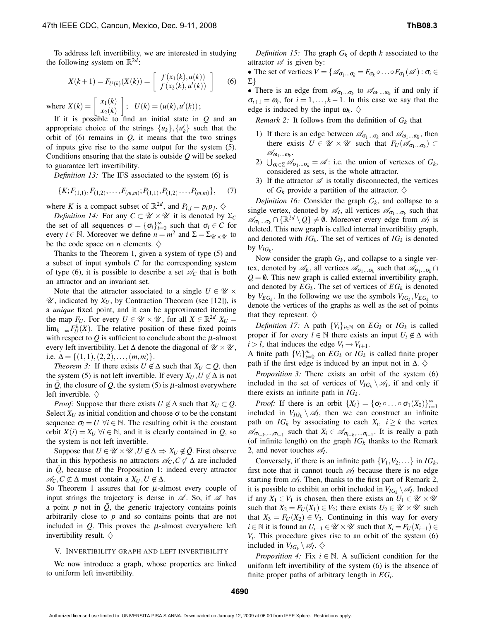To address left invertibility, we are interested in studying the following system on  $\mathbb{R}^{2d}$ :

$$
X(k+1) = F_{U(k)}(X(k)) = \begin{bmatrix} f(x_1(k), u(k)) \\ f(x_2(k), u'(k)) \end{bmatrix}
$$
 (6)

where  $X(k) = \begin{bmatrix} x_1(k) \\ x_2(k) \end{bmatrix}$ *x*2(*k*)  $\left| \begin{array}{c} ; \ \ U(k)=(u(k),u'(k)) \end{array} \right|$ 

If it is possible to find an initial state in *Q* and an appropriate choice of the strings  $\{u_k\}$ ,  $\{u'_k\}$  such that the orbit of  $(6)$  remains in  $Q$ , it means that the two strings of inputs give rise to the same output for the system (5). Conditions ensuring that the state is outside *Q* will be seeked to guarantee left invertibility.

*Definition 13:* The IFS associated to the system (6) is

$$
\{K; F_{(1,1)}, F_{(1,2)}, \ldots, F_{(m,m)}; P_{(1,1)}, P_{(1,2)} \ldots, P_{(m,m)}\},\qquad(7)
$$

where *K* is a compact subset of  $\mathbb{R}^{2d}$ , and  $P_{i,j} = p_i p_j$ .  $\diamondsuit$ 

*Definition 14:* For any  $C \subset \mathcal{U} \times \mathcal{U}$  it is denoted by  $\Sigma_C$ the set of all sequences  $\sigma = {\sigma_i}_{i=0}^{\infty}$  such that  $\sigma_i \in C$  for every  $i \in \mathbb{N}$ . Moreover we define  $n = m^2$  and  $\Sigma = \Sigma_{\mathcal{U} \times \mathcal{U}}$  to be the code space on *n* elements.  $\diamondsuit$ 

Thanks to the Theorem 1, given a system of type (5) and a subset of input symbols *C* for the corresponding system of type (6), it is possible to describe a set  $\mathscr{A}_{\mathcal{C}}$  that is both an attractor and an invariant set.

Note that the attractor associated to a single  $U \in \mathcal{U} \times$  $\mathscr{U}$ , indicated by  $X_U$ , by Contraction Theorem (see [12]), is a *unique* fixed point, and it can be approximated iterating the map  $F_U$ . For every  $U \in \mathcal{U} \times \mathcal{U}$ , for all  $X \in \mathbb{R}^{2d}$   $X_U =$  $\lim_{k\to\infty} F_U^k(X)$ . The relative position of these fixed points with respect to  $Q$  is sufficient to conclude about the  $\mu$ -almost every left invertibility. Let  $\Delta$  denote the diagonal of  $\mathcal{U} \times \mathcal{U}$ , i.e.  $\Delta = \{(1,1), (2,2), \ldots, (m,m)\}.$ 

*Theorem* 3: If there exists  $U \notin \Delta$  such that  $X_U \subset Q$ , then the system (5) is not left invertible. If every  $X_U, U \notin \Delta$  is not in  $\overline{Q}$ , the closure of  $Q$ , the system (5) is  $\mu$ -almost everywhere left invertible.  $\diamondsuit$ 

*Proof:* Suppose that there exists  $U \notin \Delta$  such that  $X_U \subset Q$ . Select  $X_U$  as initial condition and choose  $\sigma$  to be the constant sequence  $\sigma_i = U \ \forall i \in \mathbb{N}$ . The resulting orbit is the constant orbit  $X(i) = X_U \,\forall i \in \mathbb{N}$ , and it is clearly contained in *Q*, so the system is not left invertible.

Suppose that  $U \in \mathcal{U} \times \mathcal{U}$ ,  $U \notin \Delta \Rightarrow X_U \notin \overline{Q}$ . First observe that in this hypothesis no attractors  $\mathcal{A}_C$ ,  $C \not\subset \Delta$  are included in  $\overline{Q}$ , because of the Proposition 1: indeed every attractor  $\mathcal{A}_C, C \not\subset \Delta$  must contain a  $X_U, U \notin \Delta$ .

So Theorem 1 assures that for  $\mu$ -almost every couple of input strings the trajectory is dense in  $\mathscr A$ . So, if  $\mathscr A$  has a point  $p$  not in  $Q$ , the generic trajectory contains points arbitrarily close to *p* and so contains points that are not included in  $Q$ . This proves the  $\mu$ -almost everywhere left invertibility result.  $\diamondsuit$ 

#### V. INVERTIBILITY GRAPH AND LEFT INVERTIBILITY

We now introduce a graph, whose properties are linked to uniform left invertibility.

*Definition* 15: The graph  $G_k$  of depth *k* associated to the attractor  $\mathscr A$  is given by:

• The set of vertices  $V = \{ \mathcal{A}_{\sigma_1...\sigma_k} = F_{\sigma_k} \circ ... \circ F_{\sigma_1}(\mathcal{A}) : \sigma_i \in$ Σ}

• There is an edge from  $\mathscr{A}_{\sigma_1...\sigma_k}$  to  $\mathscr{A}_{\omega_1...\omega_k}$  if and only if  $\sigma_{i+1} = \omega_i$ , for  $i = 1, \ldots, k-1$ . In this case we say that the edge is induced by the input  $\omega_k$ .  $\diamondsuit$ 

*Remark* 2: It follows from the definition of  $G_k$  that

- 1) If there is an edge between  $\mathcal{A}_{\sigma_1...\sigma_k}$  and  $\mathcal{A}_{\omega_1...\omega_k}$ , then there exists  $U \in \mathcal{U} \times \mathcal{U}$  such that  $F_U(\mathcal{A}_{\sigma_1...\sigma_k}) \subset$  $\mathscr{A}_{\boldsymbol{\omega}_1...\boldsymbol{\omega}_k}$ .
- 2)  $\bigcup_{\sigma_i \in \Sigma} \mathcal{A}_{\sigma_1...\sigma_k} = \mathcal{A}$ : i.e. the union of vertexes of  $G_k$ , considered as sets, is the whole attractor.
- 3) If the attractor  $\mathscr A$  is totally disconnected, the vertices of  $G_k$  provide a partition of the attractor.  $\diamondsuit$

*Definition 16:* Consider the graph *G<sup>k</sup>* , and collapse to a single vertex, denoted by  $\mathscr{A}_I$ , all vertices  $\mathscr{A}_{\sigma_1...\sigma_k}$  such that  $\mathscr{A}_{\sigma_1...\sigma_k} \cap \{\mathbb{R}^{2d} \setminus Q\} \neq \emptyset$ . Moreover every edge from  $\mathscr{A}_I$  is deleted. This new graph is called internal invertibility graph, and denoted with  $IG_k$ . The set of vertices of  $IG_k$  is denoted by  $V_{IG_k}$ .

Now consider the graph  $G_k$ , and collapse to a single vertex, denoted by  $\mathscr{A}_E$ , all vertices  $\mathscr{A}_{\sigma_1...\sigma_k}$  such that  $\mathscr{A}_{\sigma_1...\sigma_k} \cap$  $Q = \emptyset$ . This new graph is called external invertibility graph, and denoted by  $EG_k$ . The set of vertices of  $EG_k$  is denoted by  $V_{EG_k}$ . In the following we use the symbols  $V_{IG_k}$ ,  $V_{EG_k}$  to denote the vertices of the graphs as well as the set of points that they represent.  $\diamondsuit$ 

*Definition* 17: A path  $\{V_i\}_{i \in \mathbb{N}}$  on  $EG_k$  or  $IG_k$  is called proper if for every  $l \in \mathbb{N}$  there exists an input  $U_i \notin \Delta$  with  $i > l$ , that induces the edge  $V_i \rightarrow V_{i+1}$ .

A finite path  ${V_i}_{i=0}^m$  on  $EG_k$  or  $IG_k$  is called finite proper path if the first edge is induced by an input not in  $\Delta$ .  $\diamondsuit$ 

*Proposition 3:* There exists an orbit of the system (6) included in the set of vertices of  $V_{IG_k} \setminus \mathscr{A}_I$ , if and only if there exists an infinite path in *IG<sup>k</sup>* .

*Proof:* If there is an orbit  $\{X_i\} = \{\sigma_i \circ \dots \circ \sigma_1(X_0)\}_{i=1}^{\infty}$ included in  $V_{IG_k} \setminus \mathcal{A}_1$ , then we can construct an infinite path on  $IG_k$  by associating to each  $X_i$ ,  $i \geq k$  the vertex  $\mathscr{A}_{\sigma_{i-k},...,\sigma_{i-1}}$  such that  $X_i \in \mathscr{A}_{\sigma_{i-k},...,\sigma_{i-1}}$ . It is really a path (of infinite length) on the graph  $IG_k$  thanks to the Remark 2, and never touches  $\mathscr{A}_I$ .

Conversely, if there is an infinite path  $\{V_1, V_2, \ldots\}$  in  $IG_k$ , first note that it cannot touch  $\mathscr{A}_I$  because there is no edge starting from  $\mathcal{A}_I$ . Then, thanks to the first part of Remark 2, it is possible to exhibit an orbit included in  $V_{IG_k} \setminus \mathcal{A}_I$ . Indeed if any  $X_1 \in V_1$  is chosen, then there exists an  $U_1 \in \mathcal{U} \times \mathcal{U}$ such that  $X_2 = F_U(X_1) \in V_2$ ; there exists  $U_2 \in \mathcal{U} \times \mathcal{U}$  such that  $X_3 = F_U(X_2) \in V_3$ . Continuing in this way for every *i* ∈ N it is found an  $U_{i-1}$  ∈  $\mathcal{U} \times \mathcal{U}$  such that  $X_i = F_U(X_{i-1})$  ∈  $V_i$ . This procedure gives rise to an orbit of the system  $(6)$ included in  $V_{IG_k} \setminus \mathscr{A}_I$ .  $\diamondsuit$ 

*Proposition* 4: Fix  $i \in \mathbb{N}$ . A sufficient condition for the uniform left invertibility of the system (6) is the absence of finite proper paths of arbitrary length in *EG<sup>i</sup>* .

Authorized licensed use limited to: UNIVERSITA PISA S ANNA. Downloaded on January 12, 2009 at 06:00 from IEEE Xplore. Restrictions apply.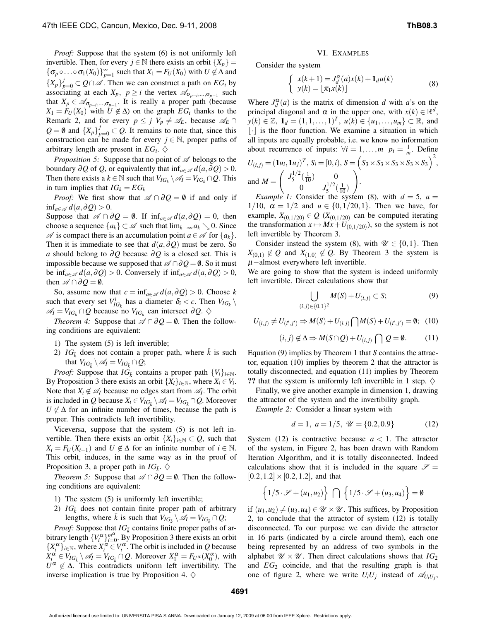*Proof:* Suppose that the system (6) is not uniformly left invertible. Then, for every  $j \in \mathbb{N}$  there exists an orbit  $\{X_p\}$  =  ${\{\sigma_p \circ \ldots \circ \sigma_1(X_0)\}}_{p=1}^{\infty}$  such that  $X_1 = F_U(X_0)$  with  $U \notin \Delta$  and  $\{X_p\}_{p=0}^j \subset Q \cap \mathcal{A}$ . Then we can construct a path on  $EG_i$  by associating at each  $X_p$ ,  $p \geq i$  the vertex  $\mathscr{A}_{\sigma_{p-i},...,\sigma_{p-1}}$  such that  $X_p \in \mathscr{A}_{\sigma_{p-i}, \dots, \sigma_{p-1}}$ . It is really a proper path (because  $X_1 = F_U(X_0)$  with  $U \notin \Delta$ ) on the graph  $EG_i$  thanks to the Remark 2, and for every  $p \leq j$   $V_p \neq \mathcal{A}_E$ , because  $\mathcal{A}_E \cap$  $Q = \emptyset$  and  $\{X_p\}_{p=0}^j \subset Q$ . It remains to note that, since this construction can be made for every  $j \in \mathbb{N}$ , proper paths of arbitrary length are present in  $EG_i$ .  $\diamondsuit$ 

*Proposition* 5: Suppose that no point of  $\mathscr A$  belongs to the boundary  $\partial Q$  of *Q*, or equivalently that inf<sub>*a*∈ $\mathscr{A}$ </sub>  $d(a, \partial Q) > 0$ . Then there exists a *k* ∈ N such that  $V_{IG_k} \setminus \mathscr{A}_I = V_{IG_k} \cap Q$ . This in turn implies that  $IG_k = EG_k$ 

*Proof:* We first show that  $\mathscr{A} \cap \partial Q = \emptyset$  if and only if inf<sub>a∈ $\mathscr{A}$ </sub>  $d(a,∂Q) > 0$ .

Suppose that  $\mathscr{A} \cap \partial Q = \emptyset$ . If  $\inf_{a \in \mathscr{A}} d(a, \partial Q) = 0$ , then choose a sequence  $\{a_k\} \subset \mathscr{A}$  such that  $\lim_{k \to \infty} a_k \setminus 0$ . Since  $\mathscr A$  is compact there is an accumulation point  $a \in \mathscr A$  for  $\{a_k\}.$ Then it is immediate to see that  $d(a, \partial Q)$  must be zero. So *a* should belong to ∂*Q* because ∂*Q* is a closed set. This is impossible because we supposed that  $\mathscr{A} \cap \partial Q = \emptyset$ . So it must be inf<sub>a∈A</sub>  $d(a, \partial Q) > 0$ . Conversely if inf<sub>a∈A</sub>  $d(a, \partial Q) > 0$ , then  $\mathscr{A} \cap \partial Q = \emptyset$ .

So, assume now that  $c = \inf_{a \in \mathcal{A}} d(a, \partial Q) > 0$ . Choose *k* such that every set  $V_{IG_k}^i$  has a diameter  $\delta_i < c$ . Then  $V_{IG_k} \setminus$  $\mathscr{A}_I = V_{IG_k} \cap Q$  because no  $V_{IG_k}$  can intersect ∂Q.  $\diamondsuit$ 

*Theorem 4:* Suppose that  $\mathscr{A} \cap \partial Q = \emptyset$ . Then the following conditions are equivalent:

- 1) The system (5) is left invertible;
- 2)  $IG_{\bar{k}}$  does not contain a proper path, where  $\bar{k}$  is such that  $V_{IG_{\bar{k}}} \setminus \mathscr{A}_I = V_{IG_{\bar{k}}} \cap Q;$

*Proof:* Suppose that  $IG_{\bar{k}}$  contains a proper path  $\{V_i\}_{i \in \mathbb{N}}$ . By Proposition 3 there exists an orbit  $\{X_i\}_{i \in \mathbb{N}}$ , where  $X_i \in V_i$ . Note that  $X_i \notin \mathcal{A}_I$  because no edges start from  $\mathcal{A}_I$ . The orbit is included in *Q* because  $X_i \in V_{IG_{\bar{k}}} \setminus \mathscr{A}_I = V_{IG_{\bar{k}}} \cap Q$ . Moreover  $U \notin \Delta$  for an infinite number of times, because the path is proper. This contradicts left invertibility.

Viceversa, suppose that the system (5) is not left invertible. Then there exists an orbit  $\{X_i\}_{i\in\mathbb{N}} \subset Q$ , such that  $X_i = F_U(X_{i-1})$  and  $U \notin \Delta$  for an infinite number of  $i \in \mathbb{N}$ . This orbit, induces, in the same way as in the proof of Proposition 3, a proper path in  $IG_{\bar{k}}$ .  $\diamondsuit$ 

*Theorem* 5: Suppose that  $\mathscr{A} \cap \partial Q = \emptyset$ . Then the following conditions are equivalent:

- 1) The system (5) is uniformly left invertible;
- 2)  $IG_{\bar{k}}$  does not contain finite proper path of arbitrary lengths, where  $\bar{k}$  is such that  $V_{IG_{\bar{k}}} \setminus \mathscr{A}_I = V_{IG_{\bar{k}}} \cap Q$ ;

*Proof:* Suppose that  $IG_{\bar{k}}$  contains finite proper paths of arbitrary length  ${V_i^{\alpha}}_{i=0}^{m^{\alpha}}$ . By Proposition 3 there exists an orbit  $\{X_i^{\alpha}\}_{i\in\mathbb{N}}$ , where  $X_i^{\alpha} \in V_i^{\alpha}$ . The orbit is included in *Q* because  $X_i^{\alpha} \in V_{IG_{\bar{k}}} \setminus \mathscr{A}_I = V_{IG_{\bar{k}}} \cap Q$ . Moreover  $X_1^{\alpha} = F_{U^{\alpha}}(X_0^{\alpha})$ , with  $U^{\alpha} \notin \Delta$ . This contradicts uniform left invertibility. The inverse implication is true by Proposition 4.  $\diamond$ 

#### VI. EXAMPLES

Consider the system

$$
\begin{cases}\n x(k+1) = J_d^{\alpha}(a)x(k) + \mathbf{1}_d u(k) \\
y(k) = [\pi_1 x(k)]\n\end{cases}
$$
\n(8)

Where  $J_d^{\alpha}(a)$  is the matrix of dimension *d* with *a*'s on the principal diagonal and  $\alpha$  in the upper one, with  $x(k) \in \mathbb{R}^d$ , *y*(*k*) ∈ ℤ, **1**<sub>*d*</sub> =  $(1, 1, ..., 1)^T$ , *u*(*k*) ∈ {*u*<sub>1</sub>,...,*u*<sub>*m*</sub>} ⊂ ℝ, and  $|\cdot|$  is the floor function. We examine a situation in which all inputs are equally probable, i.e. we know no information about recurrence of inputs:  $\forall i = 1,...,m$   $p_i = \frac{1}{m}$ . Define  $U_{(i,j)} = (\mathbf{1}u_i, \mathbf{1}u_j)^T$ ,  $S_i = [0,i)$ ,  $S = (S_3 \times S_3 \times S_3 \times S_3 \times S_3)^2$ , and  $M =$  $\int J_5^{1/2}$  $\frac{1}{2}$  $(\frac{1}{10})$  0  $0 \t J_5^{1/2}$  $\frac{1}{2}(\frac{1}{10})$  $\setminus$ .

*Example* 1: Consider the system (8), with  $d = 5$ ,  $a =$  $1/10$ ,  $\alpha = 1/2$  and  $u \in \{0, 1/20, 1\}$ . Then we have, for example,  $X_{(0,1/20)} \in Q$  ( $X_{(0,1/20)}$  can be computed iterating the transformation  $x \mapsto Mx + U_{(0,1/20)}$ , so the system is not left invertible by Theorem 3.

Consider instead the system (8), with  $\mathscr{U} \in \{0,1\}$ . Then  $X_{(0,1)} \notin Q$  and  $X_{(1,0)} \notin Q$ . By Theorem 3 the system is  $\mu$ −almost everywhere left invertible.

We are going to show that the system is indeed uniformly left invertible. Direct calculations show that

$$
\bigcup_{(i,j)\in\{0,1\}^2} M(S) + U_{(i,j)} \subset S; \tag{9}
$$

$$
U_{(i,j)} \neq U_{(i',j')} \Rightarrow M(S) + U_{(i,j)} \bigcap M(S) + U_{(i',j')} = \emptyset; (10)
$$

$$
(i,j) \notin \Delta \Rightarrow M(S \cap Q) + U_{(i,j)} \bigcap Q = \emptyset. \tag{11}
$$

Equation (9) implies by Theorem 1 that *S* contains the attractor, equation (10) implies by theorem 2 that the attractor is totally disconnected, and equation (11) implies by Theorem **??** that the system is uniformly left invertible in 1 step.  $\diamondsuit$ 

Finally, we give another example in dimension 1, drawing the attractor of the system and the invertibility graph.

*Example 2:* Consider a linear system with

$$
d = 1, \ a = 1/5, \ \mathcal{U} = \{0.2, 0.9\} \tag{12}
$$

System (12) is contractive because  $a < 1$ . The attractor of the system, in Figure 2, has been drawn with Random Iteration Algorithm, and it is totally disconnected. Indeed calculations show that it is included in the square  $\mathscr{S} =$  $[0.2, 1.2] \times [0.2, 1.2]$ , and that

$$
\left\{1/5\cdot\mathscr{S}+(u_1,u_2)\right\}\bigcap\left\{1/5\cdot\mathscr{S}+(u_3,u_4)\right\}=\emptyset
$$

if  $(u_1, u_2) \neq (u_3, u_4) \in \mathcal{U} \times \mathcal{U}$ . This suffices, by Proposition 2, to conclude that the attractor of system (12) is totally disconnected. To our purpose we can divide the attractor in 16 parts (indicated by a circle around them), each one being represented by an address of two symbols in the alphabet  $\mathcal{U} \times \mathcal{U}$ . Then direct calculations shows that *IG*<sub>2</sub> and  $EG_2$  coincide, and that the resulting graph is that one of figure 2, where we write  $U_i U_j$  instead of  $\mathcal{A}_{U_i U_j}$ ,